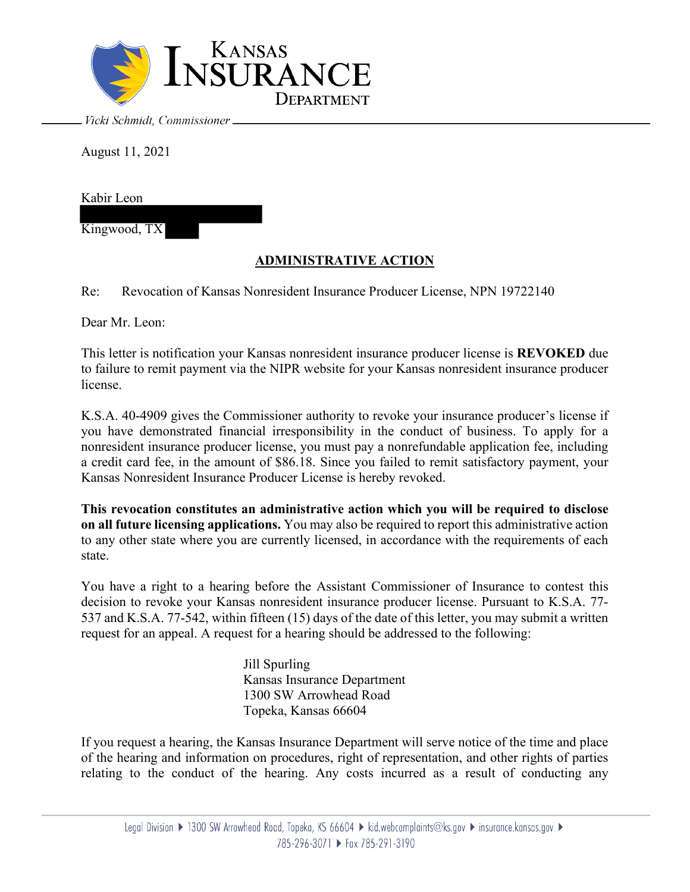

Vicki Schmidt, Commissioner.

August 11, 2021

| Kabir Leon   |  |
|--------------|--|
|              |  |
| Kingwood, TX |  |

## **ADMINISTRATIVE ACTION**

Re: Revocation of Kansas Nonresident Insurance Producer License, NPN 19722140

Dear Mr. Leon:

This letter is notification your Kansas nonresident insurance producer license is **REVOKED** due to failure to remit payment via the NIPR website for your Kansas nonresident insurance producer license.

K.S.A. 40-4909 gives the Commissioner authority to revoke your insurance producer's license if you have demonstrated financial irresponsibility in the conduct of business. To apply for a nonresident insurance producer license, you must pay a nonrefundable application fee, including a credit card fee, in the amount of \$86.18. Since you failed to remit satisfactory payment, your Kansas Nonresident Insurance Producer License is hereby revoked.

**This revocation constitutes an administrative action which you will be required to disclose on all future licensing applications.** You may also be required to report this administrative action to any other state where you are currently licensed, in accordance with the requirements of each state.

You have a right to a hearing before the Assistant Commissioner of Insurance to contest this decision to revoke your Kansas nonresident insurance producer license. Pursuant to K.S.A. 77- 537 and K.S.A. 77-542, within fifteen (15) days of the date of this letter, you may submit a written request for an appeal. A request for a hearing should be addressed to the following:

> Jill Spurling Kansas Insurance Department 1300 SW Arrowhead Road Topeka, Kansas 66604

If you request a hearing, the Kansas Insurance Department will serve notice of the time and place of the hearing and information on procedures, right of representation, and other rights of parties relating to the conduct of the hearing. Any costs incurred as a result of conducting any